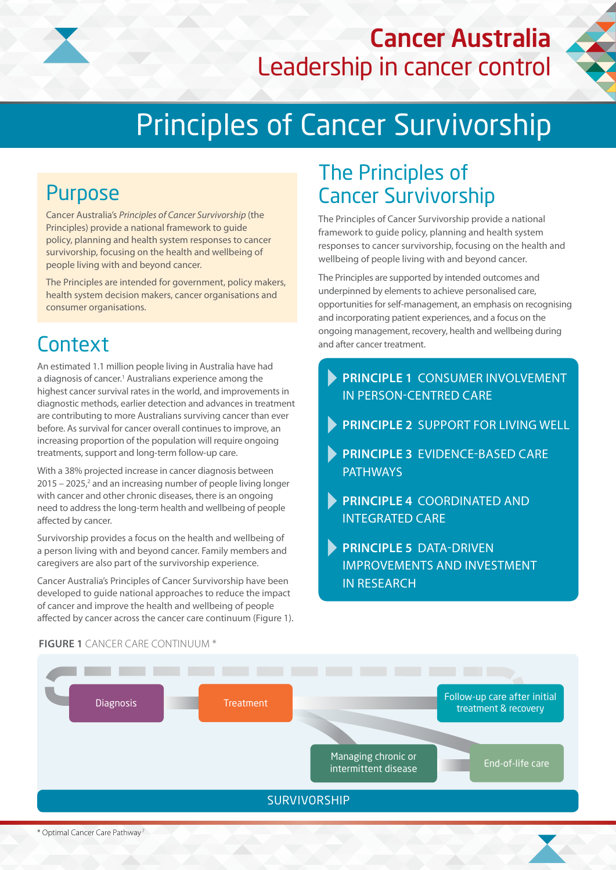

## Cancer Australia Leadership in cancer control



# Principles of Cancer Survivorship

### Purpose

Cancer Australia's *Principles of Cancer Survivorship* (the Principles) provide a national framework to guide policy, planning and health system responses to cancer survivorship, focusing on the health and wellbeing of people living with and beyond cancer.

The Principles are intended for government, policy makers, health system decision makers, cancer organisations and consumer organisations.

### **Context**

An estimated 1.1 million people living in Australia have had a diagnosis of cancer.<sup>1</sup> Australians experience among the highest cancer survival rates in the world, and improvements in diagnostic methods, earlier detection and advances in treatment are contributing to more Australians surviving cancer than ever before. As survival for cancer overall continues to improve, an increasing proportion of the population will require ongoing treatments, support and long-term follow-up care.

With a 38% projected increase in cancer diagnosis between  $2015 - 2025$ , and an increasing number of people living longer with cancer and other chronic diseases, there is an ongoing need to address the long-term health and wellbeing of people affected by cancer.

Survivorship provides a focus on the health and wellbeing of a person living with and beyond cancer. Family members and caregivers are also part of the survivorship experience.

Cancer Australia's Principles of Cancer Survivorship have been developed to guide national approaches to reduce the impact of cancer and improve the health and wellbeing of people affected by cancer across the cancer care continuum (Figure 1).

## The Principles of Cancer Survivorship

The Principles of Cancer Survivorship provide a national framework to guide policy, planning and health system responses to cancer survivorship, focusing on the health and wellbeing of people living with and beyond cancer.

The Principles are supported by intended outcomes and underpinned by elements to achieve personalised care, opportunities for self-management, an emphasis on recognising and incorporating patient experiences, and a focus on the ongoing management, recovery, health and wellbeing during and after cancer treatment.

- **PRINCIPLE 1** CONSUMER INVOLVEMENT IN PERSON-CENTRED CARE
- **PRINCIPLE 2** SUPPORT FOR LIVING WELL
- **PRINCIPLE 3** EVIDENCE-BASED CARE **PATHWAYS**
- **PRINCIPLE 4** COORDINATED AND INTEGRATED CARE
- **PRINCIPLE 5** DATA-DRIVEN IMPROVEMENTS AND INVESTMENT IN RESEARCH



#### **FIGURE 1** CANCER CARE CONTINUUM \*

<sup>\*</sup> Optimal Cancer Care Pathway 7